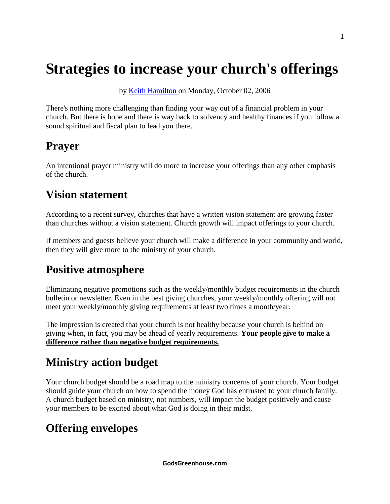# **Strategies to increase your church's offerings**

by [Keith Hamilton o](http://www.lifeway.com/Article/strategies-to-increase-your-church-offerings?EMID=CW-PastorsToday-20111226#author_bio_0)n Monday, October 02, 2006

There's nothing more challenging than finding your way out of a financial problem in your church. But there is hope and there is way back to solvency and healthy finances if you follow a sound spiritual and fiscal plan to lead you there.

#### **Prayer**

An intentional prayer ministry will do more to increase your offerings than any other emphasis of the church.

#### **Vision statement**

According to a recent survey, churches that have a written vision statement are growing faster than churches without a vision statement. Church growth will impact offerings to your church.

If members and guests believe your church will make a difference in your community and world, then they will give more to the ministry of your church.

### **Positive atmosphere**

Eliminating negative promotions such as the weekly/monthly budget requirements in the church bulletin or newsletter. Even in the best giving churches, your weekly/monthly offering will not meet your weekly/monthly giving requirements at least two times a month/year.

The impression is created that your church is not healthy because your church is behind on giving when, in fact, you may be ahead of yearly requirements. **Your people give to make a difference rather than negative budget requirements.**

### **Ministry action budget**

Your church budget should be a road map to the ministry concerns of your church. Your budget should guide your church on how to spend the money God has entrusted to your church family. A church budget based on ministry, not numbers, will impact the budget positively and cause your members to be excited about what God is doing in their midst.

## **Offering envelopes**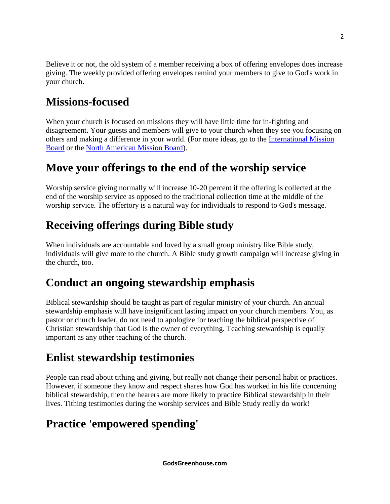Believe it or not, the old system of a member receiving a box of offering envelopes does increase giving. The weekly provided offering envelopes remind your members to give to God's work in your church.

## **Missions-focused**

When your church is focused on missions they will have little time for in-fighting and disagreement. Your guests and members will give to your church when they see you focusing on others and making a difference in your world. (For more ideas, go to the [International Mission](http://www.imb.org/)  [Board](http://www.imb.org/) or the [North American Mission Board\)](http://www.namb.net/).

#### **Move your offerings to the end of the worship service**

Worship service giving normally will increase 10-20 percent if the offering is collected at the end of the worship service as opposed to the traditional collection time at the middle of the worship service. The offertory is a natural way for individuals to respond to God's message.

#### **Receiving offerings during Bible study**

When individuals are accountable and loved by a small group ministry like Bible study, individuals will give more to the church. A Bible study growth campaign will increase giving in the church, too.

#### **Conduct an ongoing stewardship emphasis**

Biblical stewardship should be taught as part of regular ministry of your church. An annual stewardship emphasis will have insignificant lasting impact on your church members. You, as pastor or church leader, do not need to apologize for teaching the biblical perspective of Christian stewardship that God is the owner of everything. Teaching stewardship is equally important as any other teaching of the church.

### **Enlist stewardship testimonies**

People can read about tithing and giving, but really not change their personal habit or practices. However, if someone they know and respect shares how God has worked in his life concerning biblical stewardship, then the hearers are more likely to practice Biblical stewardship in their lives. Tithing testimonies during the worship services and Bible Study really do work!

### **Practice 'empowered spending'**